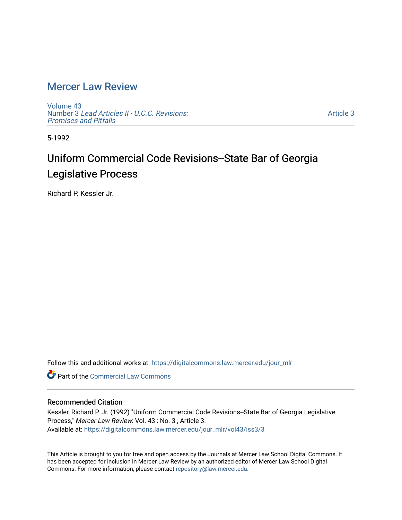### [Mercer Law Review](https://digitalcommons.law.mercer.edu/jour_mlr)

[Volume 43](https://digitalcommons.law.mercer.edu/jour_mlr/vol43) Number 3 [Lead Articles II - U.C.C. Revisions:](https://digitalcommons.law.mercer.edu/jour_mlr/vol43/iss3) [Promises and Pitfalls](https://digitalcommons.law.mercer.edu/jour_mlr/vol43/iss3) 

[Article 3](https://digitalcommons.law.mercer.edu/jour_mlr/vol43/iss3/3) 

5-1992

## Uniform Commercial Code Revisions--State Bar of Georgia Legislative Process

Richard P. Kessler Jr.

Follow this and additional works at: [https://digitalcommons.law.mercer.edu/jour\\_mlr](https://digitalcommons.law.mercer.edu/jour_mlr?utm_source=digitalcommons.law.mercer.edu%2Fjour_mlr%2Fvol43%2Fiss3%2F3&utm_medium=PDF&utm_campaign=PDFCoverPages)

**C** Part of the [Commercial Law Commons](http://network.bepress.com/hgg/discipline/586?utm_source=digitalcommons.law.mercer.edu%2Fjour_mlr%2Fvol43%2Fiss3%2F3&utm_medium=PDF&utm_campaign=PDFCoverPages)

### Recommended Citation

Kessler, Richard P. Jr. (1992) "Uniform Commercial Code Revisions--State Bar of Georgia Legislative Process," Mercer Law Review: Vol. 43 : No. 3 , Article 3. Available at: [https://digitalcommons.law.mercer.edu/jour\\_mlr/vol43/iss3/3](https://digitalcommons.law.mercer.edu/jour_mlr/vol43/iss3/3?utm_source=digitalcommons.law.mercer.edu%2Fjour_mlr%2Fvol43%2Fiss3%2F3&utm_medium=PDF&utm_campaign=PDFCoverPages)

This Article is brought to you for free and open access by the Journals at Mercer Law School Digital Commons. It has been accepted for inclusion in Mercer Law Review by an authorized editor of Mercer Law School Digital Commons. For more information, please contact [repository@law.mercer.edu.](mailto:repository@law.mercer.edu)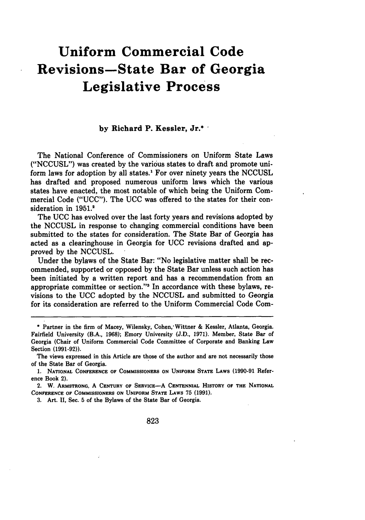# **Uniform Commercial Code Revisions-State Bar of Georgia Legislative Process**

#### **by** Richard P. Kessler, Jr.\*

The National Conference of Commissioners on Uniform State Laws **("NCCUSL")** was created by the various states to draft and promote uniform laws for adoption **by** all states.1 For over ninety years the **NCCUSL** has drafted and proposed numerous uniform laws which the various states have enacted, the most notable of which being the Uniform Commercial Code **("UCC").** The **UCC** was offered to the states for their consideration in **1951.2**

The UCC has evolved over the last forty years and revisions adopted by the NCCUSL in response to changing commercial conditions have been submitted to the states for consideration. The State Bar of Georgia has acted as a clearinghouse in Georgia for UCC revisions drafted and approved by the NCCUSL.

Under the bylaws of the State Bar: "No legislative matter shall be recommended, supported or opposed by the State Bar unless such action has been initiated by a written report and has a recommendation from an appropriate committee or section."'3 In accordance with these bylaws, revisions to the UCC adopted by the NCCUSL and submitted to Georgia for its consideration are referred to the Uniform Commercial Code Com-

2. W. **ARMSTRONG,** A **CENTURY** OF **SERVICE-A CENTENNIAL HISTORY OF THE NATIONAL CONFERENCE OF COMMISSIONERS ON** UNIFORM **STATE LAWS 75 (1991).**

**3.** Art. II, Sec. **5** of the Bylaws of the State Bar of Georgia.

<sup>\*</sup> Partner in the firm of Macey, Wilensky, Cohen, Wittner & Kessler, Atlanta, Georgia. Fairfield University (B.A., **1968);** Emory University **(J.D.,** 1971). Member, State Bar of Georgia (Chair of Uniform Commercial Code Committee of Corporate and Banking Law Section **(1991-92)).**

The views expressed in this Article are those of the author and are not necessarily those of the State Bar of Georgia.

**<sup>1.</sup> NATIONAL CONFERENCE OF** COMMISSIONERS **ON UNIFORM STATE** LAWS **(1990-91** Reference Book 2).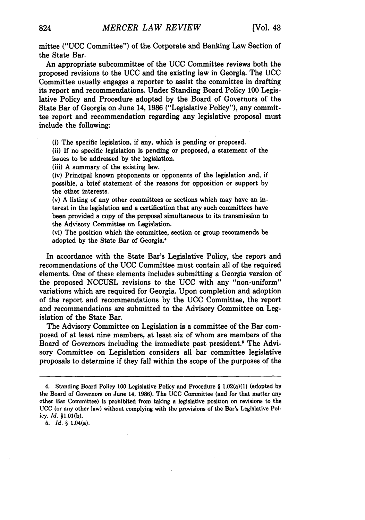mittee ("UCC Committee") of the Corporate and Banking Law Section of the State Bar.

An appropriate subcommittee of the **UCC** Committee reviews both the proposed revisions to the UCC and the existing law in Georgia. The UCC Committee usually engages a reporter to assist the committee in drafting its report and recommendations. Under Standing Board Policy 100 Legislative Policy and Procedure adopted by the Board of Governors of the State Bar of Georgia on June 14, 1986 ("Legislative Policy"), any committee report and recommendation regarding any legislative proposal must include the following:

(i) The specific legislation, if any, which is pending or proposed.

(ii) If no specific legislation is pending or proposed, a statement of the issues to be addressed by the legislation.

(iii) A summary of the existing law.

(iv) Principal known proponents or opponents of the legislation and, if possible, a brief statement of the reasons for opposition or support by the other interests.

(v) A listing of any other committees or sections which may have an interest in the legislation and a certification that any such committees have been provided a copy of the proposal simultaneous to its transmission to the Advisory Committee on Legislation.

(vi) The position which the committee, section or group recommends be adopted by the State Bar of Georgia."

In accordance with the State Bar's Legislative Policy, the report and recommendations of the UCC Committee must contain all of the required elements. One of these elements includes submitting a Georgia version of the proposed NCCUSL revisions to the UCC with any "non-uniform" variations which are required for Georgia. Upon completion and adoption of the report and recommendations by the UCC Committee, the report and recommendations are submitted to the Advisory Committee on Legislation of the State Bar.

The Advisory Committee on Legislation is a committee of the Bar composed of at least nine members, at least six of whom are members of the Board of Governors including the immediate past president.<sup>5</sup> The Advisory Committee on Legislation considers all bar committee legislative proposals to determine if they fall within the scope of the purposes of the

5. *Id.* § 1.04(a).

<sup>4.</sup> Standing Board Policy **100** Legislative Policy and Procedure § 1.02(a)(1) (adopted by the Board of Governors on June 14, **1986).** The **UCC** Committee (and for that matter any other Bar Committee) is prohibited from taking a legislative position on revisions to the UCC (or any other law) without complying with the provisions of the Bar's Legislative Policy. *Id.* §1.01(b).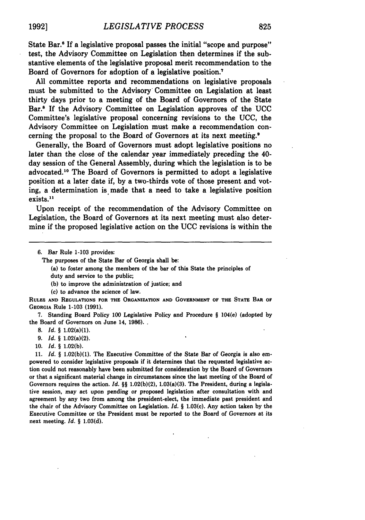State Bar.<sup>6</sup> If a legislative proposal passes the initial "scope and purpose" test, the Advisory Committee on Legislation then determines if the substantive elements of the legislative proposal merit recommendation to the Board of Governors for adoption of a legislative position.<sup>7</sup>

**All** committee reports and recommendations on legislative proposals must be submitted to the Advisory Committee on Legislation at least thirty days prior to a meeting of the Board of Governors of the State Bar.6 **If** the Advisory Committee on Legislation approves of the **UCC** Committee's legislative proposal concerning revisions to the **UCC,** the Advisory Committee on Legislation must make a recommendation concerning the proposal to the Board of Governors at its next meeting.<sup>9</sup>

Generally, the Board of Governors must adopt legislative positions no later than the close of the calendar year immediately preceding the 40 day session of the General Assembly, during which the legislation is to be advocated.10 The Board of Governors is permitted to adopt a legislative position at a later date if, **by** a two-thirds vote of those present and voting, a determination is made that a need to take a legislative position exists.<sup>11</sup>

Upon receipt of the recommendation of the Advisory Committee on Legislation, the Board of Governors at its next meeting must also determine if the proposed legislative action on the **UCC** revisions is within the

The purposes of the State Bar of Georgia shall be:

(a) to foster among the members of the bar of this State the principles of duty and service to the public;

**(b)** to improve the administration of justice; and

**(c)** to advance the science of law.

**RULES AND REGULATIONS FOR THE ORGANIZATION AND GOVERNMENT OF THE STATE BAR OF GEORGIA Rule 1-103 (1991).**

**7.** Standing **Board Policy 100 Legislative Policy and Procedure** § **104(e) (adopted by the Board of Governors on June 14, 1986).**

**8.** *Id.* § 1.02(a)(1).

**9.** *Id. §* 1.02(a)(2).

**10.** *Id. §* **1.02(b).**

**11.** *Id. §* **1.02(b)(1).** The **Executive Committee of** the State Bar of Georgia is also em**powered to consider legislative proposals** if it determines that the requested legislative action could not reasonably have been submitted for consideration **by** the Board of Governors or that a significant material change in circumstances since the last meeting of the Board of Governors requires the action. *Id.* §§ **1.02(b)(2),** 1.03(a)(3). The President, during a legislative session, may act upon pending or proposed legislation after consultation with and agreement **by** any two from among the president-elect, the immediate past president and the chair of the Advisory Committee on Legislation. *Id. §* **1.03(c).** Any action taken **by** the Executive Committee or the President must be reported to the Board of Governors at its **next meeting.** *Id. §* **1,03(d).**

<sup>6.</sup> Bar Rule **1-103** provides: